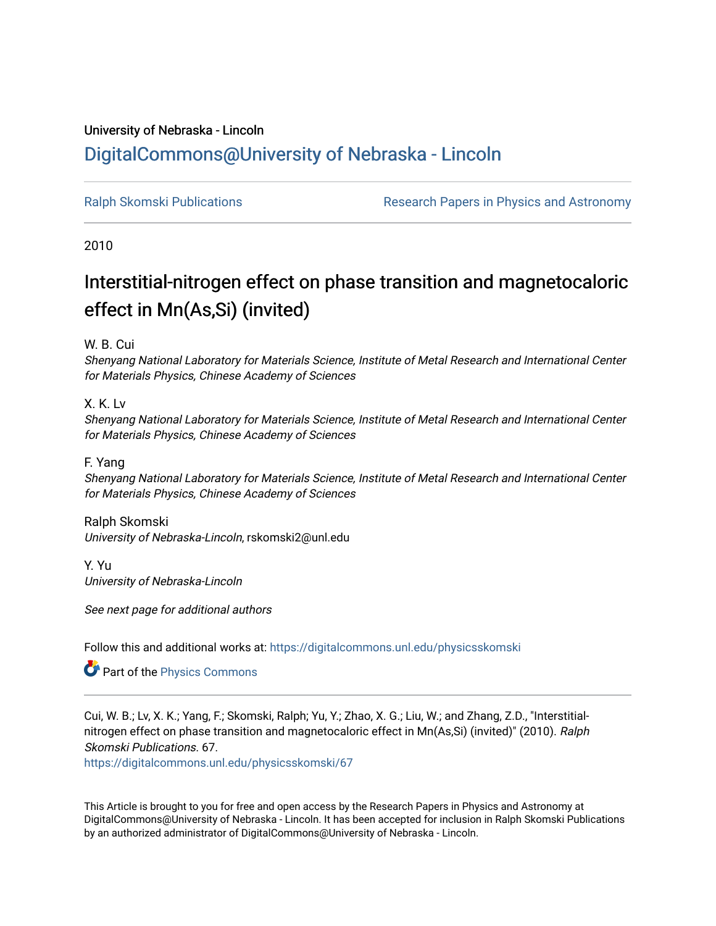## University of Nebraska - Lincoln [DigitalCommons@University of Nebraska - Lincoln](https://digitalcommons.unl.edu/)

[Ralph Skomski Publications](https://digitalcommons.unl.edu/physicsskomski) The Research Papers in Physics and Astronomy

2010

# Interstitial-nitrogen effect on phase transition and magnetocaloric effect in Mn(As,Si) (invited)

W. B. Cui

Shenyang National Laboratory for Materials Science, Institute of Metal Research and International Center for Materials Physics, Chinese Academy of Sciences

X. K. Lv

Shenyang National Laboratory for Materials Science, Institute of Metal Research and International Center for Materials Physics, Chinese Academy of Sciences

F. Yang

Shenyang National Laboratory for Materials Science, Institute of Metal Research and International Center for Materials Physics, Chinese Academy of Sciences

Ralph Skomski

University of Nebraska-Lincoln, rskomski2@unl.edu

Y. Yu University of Nebraska-Lincoln

See next page for additional authors

Follow this and additional works at: [https://digitalcommons.unl.edu/physicsskomski](https://digitalcommons.unl.edu/physicsskomski?utm_source=digitalcommons.unl.edu%2Fphysicsskomski%2F67&utm_medium=PDF&utm_campaign=PDFCoverPages) 

Part of the [Physics Commons](http://network.bepress.com/hgg/discipline/193?utm_source=digitalcommons.unl.edu%2Fphysicsskomski%2F67&utm_medium=PDF&utm_campaign=PDFCoverPages)

Cui, W. B.; Lv, X. K.; Yang, F.; Skomski, Ralph; Yu, Y.; Zhao, X. G.; Liu, W.; and Zhang, Z.D., "Interstitialnitrogen effect on phase transition and magnetocaloric effect in Mn(As,Si) (invited)" (2010). Ralph Skomski Publications. 67.

[https://digitalcommons.unl.edu/physicsskomski/67](https://digitalcommons.unl.edu/physicsskomski/67?utm_source=digitalcommons.unl.edu%2Fphysicsskomski%2F67&utm_medium=PDF&utm_campaign=PDFCoverPages)

This Article is brought to you for free and open access by the Research Papers in Physics and Astronomy at DigitalCommons@University of Nebraska - Lincoln. It has been accepted for inclusion in Ralph Skomski Publications by an authorized administrator of DigitalCommons@University of Nebraska - Lincoln.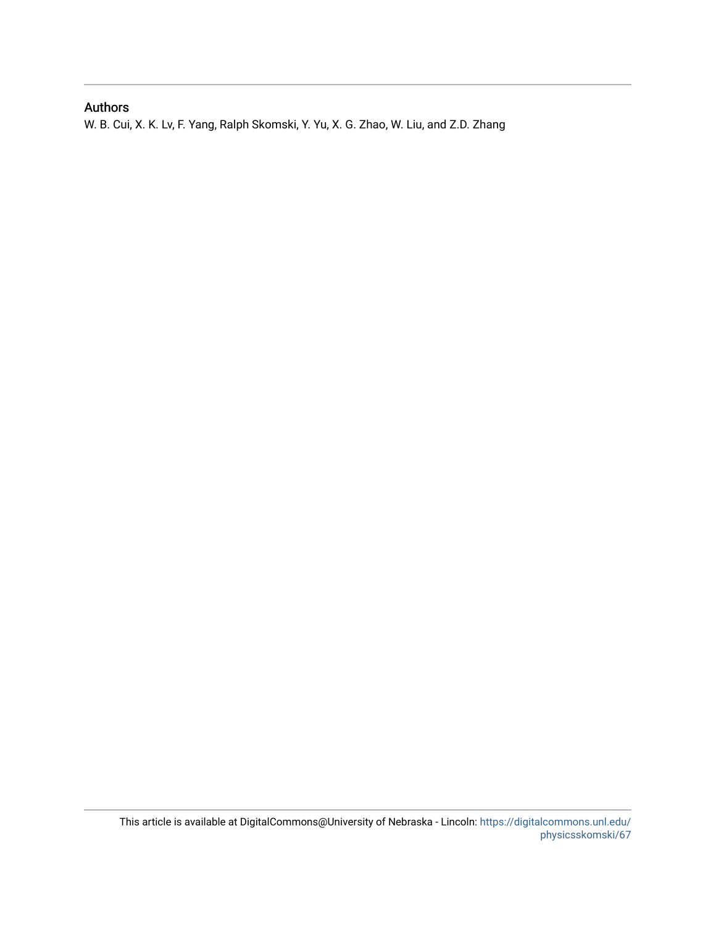## Authors

W. B. Cui, X. K. Lv, F. Yang, Ralph Skomski, Y. Yu, X. G. Zhao, W. Liu, and Z.D. Zhang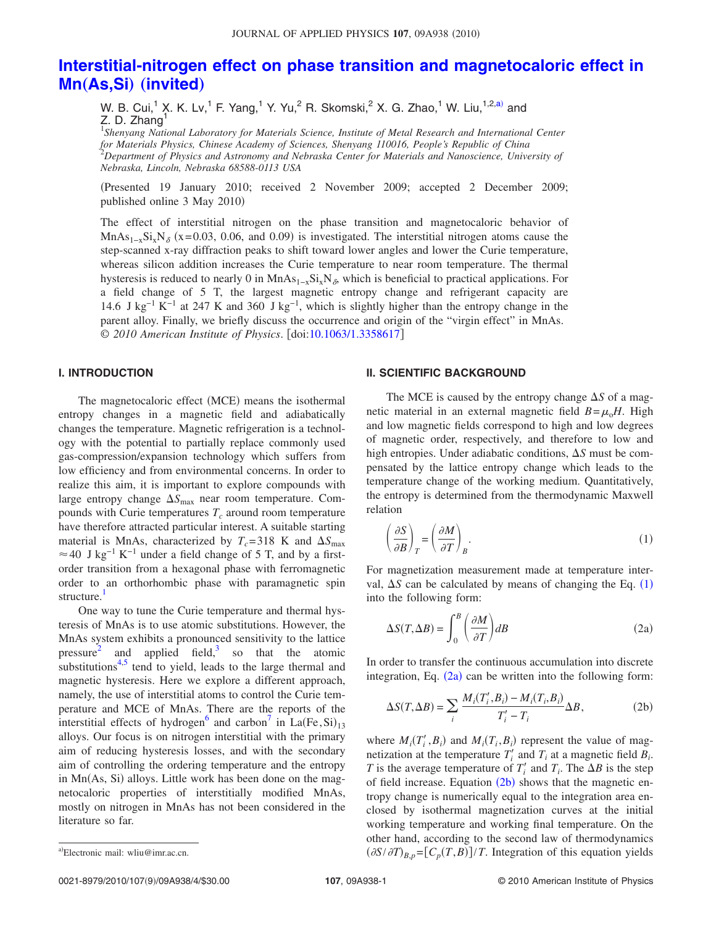### **[Interstitial-nitrogen effect on phase transition and magnetocaloric effect in](http://dx.doi.org/10.1063/1.3358617) Mn**"**As,Si**… "**[invited](http://dx.doi.org/10.1063/1.3358617)**…

W. B. Cui,<sup>1</sup> X. K. Lv,<sup>1</sup> F. Yang,<sup>1</sup> Y. Yu,<sup>2</sup> R. Skomski,<sup>2</sup> X. G. Zhao,<sup>1</sup> W. Liu,<sup>1,2,a)</sup> and Z. D. Zhang $^1$ 

1 *Shenyang National Laboratory for Materials Science, Institute of Metal Research and International Center for Materials Physics, Chinese Academy of Sciences, Shenyang 110016, People's Republic of China* 2 *Department of Physics and Astronomy and Nebraska Center for Materials and Nanoscience, University of Nebraska, Lincoln, Nebraska 68588-0113 USA*

Presented 19 January 2010; received 2 November 2009; accepted 2 December 2009; published online 3 May 2010)

The effect of interstitial nitrogen on the phase transition and magnetocaloric behavior of MnAs<sub>1-x</sub>Si<sub>x</sub>N<sub>δ</sub> (x=0.03, 0.06, and 0.09) is investigated. The interstitial nitrogen atoms cause the step-scanned x-ray diffraction peaks to shift toward lower angles and lower the Curie temperature, whereas silicon addition increases the Curie temperature to near room temperature. The thermal hysteresis is reduced to nearly 0 in MnAs<sub>1−x</sub>Si<sub>x</sub>N<sub>δ</sub>, which is beneficial to practical applications. For a field change of 5 T, the largest magnetic entropy change and refrigerant capacity are 14.6 J kg<sup>-1</sup> K<sup>-1</sup> at 247 K and 360 J kg<sup>-1</sup>, which is slightly higher than the entropy change in the parent alloy. Finally, we briefly discuss the occurrence and origin of the "virgin effect" in MnAs. © *2010 American Institute of Physics*. doi[:10.1063/1.3358617](http://dx.doi.org/10.1063/1.3358617)

#### **I. INTRODUCTION**

The magnetocaloric effect (MCE) means the isothermal entropy changes in a magnetic field and adiabatically changes the temperature. Magnetic refrigeration is a technology with the potential to partially replace commonly used gas-compression/expansion technology which suffers from low efficiency and from environmental concerns. In order to realize this aim, it is important to explore compounds with large entropy change  $\Delta S_{\text{max}}$  near room temperature. Compounds with Curie temperatures  $T_c$  around room temperature have therefore attracted particular interest. A suitable starting material is MnAs, characterized by  $T_c = 318$  K and  $\Delta S_{\text{max}}$  $\approx$  40 J kg<sup>-1</sup> K<sup>-1</sup> under a field change of 5 T, and by a firstorder transition from a hexagonal phase with ferromagnetic order to an orthorhombic phase with paramagnetic spin structure.<sup>1</sup>

One way to tune the Curie temperature and thermal hysteresis of MnAs is to use atomic substitutions. However, the MnAs system exhibits a pronounced sensitivity to the lattice pressure and applied field, $3$  so that the atomic substitutions $4,5$  $4,5$  tend to yield, leads to the large thermal and magnetic hysteresis. Here we explore a different approach, namely, the use of interstitial atoms to control the Curie temperature and MCE of MnAs. There are the reports of the interstitial effects of hydrogen<sup>[6](#page-5-5)</sup> and carbon<sup>[7](#page-5-6)</sup> in  $La(Fe,Si)_{13}$ alloys. Our focus is on nitrogen interstitial with the primary aim of reducing hysteresis losses, and with the secondary aim of controlling the ordering temperature and the entropy in Mn(As, Si) alloys. Little work has been done on the magnetocaloric properties of interstitially modified MnAs, mostly on nitrogen in MnAs has not been considered in the literature so far.

#### **II. SCIENTIFIC BACKGROUND**

The MCE is caused by the entropy change  $\Delta S$  of a magnetic material in an external magnetic field  $B = \mu_0 H$ . High and low magnetic fields correspond to high and low degrees of magnetic order, respectively, and therefore to low and high entropies. Under adiabatic conditions,  $\Delta S$  must be compensated by the lattice entropy change which leads to the temperature change of the working medium. Quantitatively, the entropy is determined from the thermodynamic Maxwell relation

<span id="page-2-0"></span>
$$
\left(\frac{\partial S}{\partial B}\right)_T = \left(\frac{\partial M}{\partial T}\right)_B.
$$
\n(1)

For magnetization measurement made at temperature interval,  $\Delta S$  can be calculated by means of changing the Eq.  $(1)$  $(1)$  $(1)$ into the following form:

<span id="page-2-1"></span>
$$
\Delta S(T, \Delta B) = \int_0^B \left(\frac{\partial M}{\partial T}\right) dB
$$
\n(2a)

In order to transfer the continuous accumulation into discrete integration, Eq.  $(2a)$  $(2a)$  $(2a)$  can be written into the following form:

<span id="page-2-2"></span>
$$
\Delta S(T, \Delta B) = \sum_{i} \frac{M_i(T_i', B_i) - M_i(T_i, B_i)}{T_i' - T_i} \Delta B, \tag{2b}
$$

where  $M_i(T_i', B_i)$  and  $M_i(T_i, B_i)$  represent the value of magnetization at the temperature  $T_i'$  and  $T_i$  at a magnetic field  $B_i$ . *T* is the average temperature of  $T_i'$  and  $T_i$ . The  $\Delta B$  is the step of field increase. Equation  $(2b)$  $(2b)$  $(2b)$  shows that the magnetic entropy change is numerically equal to the integration area enclosed by isothermal magnetization curves at the initial working temperature and working final temperature. On the other hand, according to the second law of thermodynamics <sup>a)</sup>Electronic mail: wliu@imr.ac.cn.  $(\partial S/\partial T)_{B,p} = [C_p(T,B)]/T$ . Integration of this equation yields

Electronic mail: wliu@imr.ac.cn.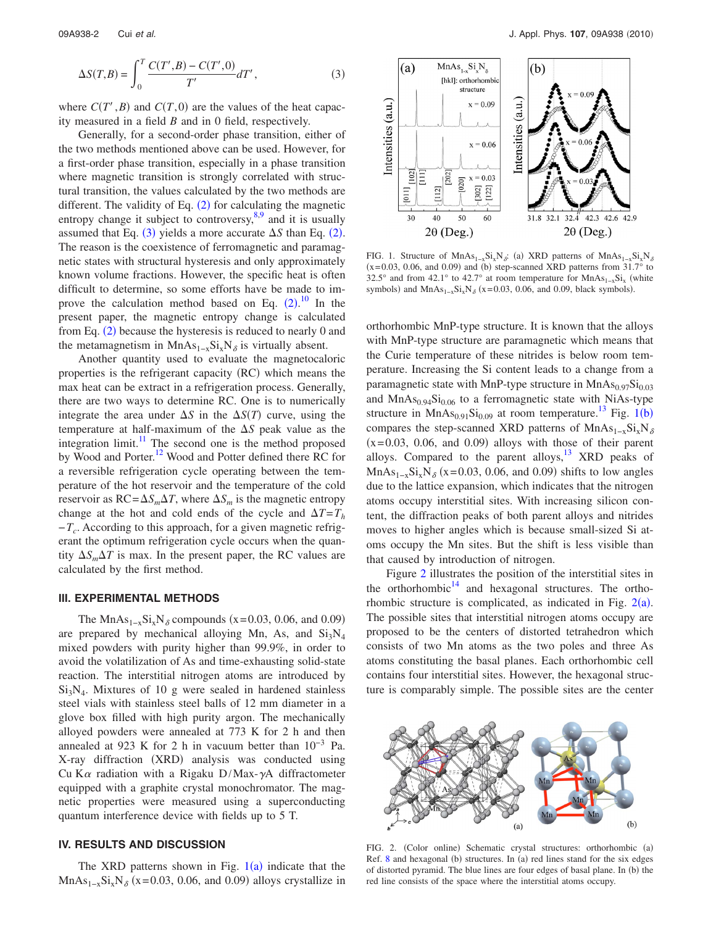<span id="page-3-0"></span>
$$
\Delta S(T,B) = \int_0^T \frac{C(T',B) - C(T',0)}{T'} dT', \tag{3}
$$

where  $C(T', B)$  and  $C(T, 0)$  are the values of the heat capacity measured in a field *B* and in 0 field, respectively.

Generally, for a second-order phase transition, either of the two methods mentioned above can be used. However, for a first-order phase transition, especially in a phase transition where magnetic transition is strongly correlated with structural transition, the values calculated by the two methods are different. The validity of Eq.  $(2)$  $(2)$  $(2)$  for calculating the magnetic entropy change it subject to controversy, $8,9$  $8,9$  and it is usually assumed that Eq.  $(3)$  $(3)$  $(3)$  yields a more accurate  $\Delta S$  than Eq.  $(2)$  $(2)$  $(2)$ . The reason is the coexistence of ferromagnetic and paramagnetic states with structural hysteresis and only approximately known volume fractions. However, the specific heat is often difficult to determine, so some efforts have be made to improve the calculation method based on Eq.  $(2)$  $(2)$  $(2)$ .<sup>[10](#page-5-9)</sup> In the present paper, the magnetic entropy change is calculated from Eq.  $(2)$  $(2)$  $(2)$  because the hysteresis is reduced to nearly 0 and the metamagnetism in MnAs<sub>1-x</sub>Si<sub>x</sub>N<sub>δ</sub> is virtually absent.

Another quantity used to evaluate the magnetocaloric properties is the refrigerant capacity (RC) which means the max heat can be extract in a refrigeration process. Generally, there are two ways to determine RC. One is to numerically integrate the area under  $\Delta S$  in the  $\Delta S(T)$  curve, using the temperature at half-maximum of the  $\Delta S$  peak value as the integration limit. $11$  The second one is the method proposed by Wood and Porter.<sup>12</sup> Wood and Potter defined there RC for a reversible refrigeration cycle operating between the temperature of the hot reservoir and the temperature of the cold reservoir as  $RC = \Delta S_m \Delta T$ , where  $\Delta S_m$  is the magnetic entropy change at the hot and cold ends of the cycle and  $\Delta T = T_h$ −*Tc*. According to this approach, for a given magnetic refrigerant the optimum refrigeration cycle occurs when the quantity  $\Delta S_m \Delta T$  is max. In the present paper, the RC values are calculated by the first method.

#### **III. EXPERIMENTAL METHODS**

The MnAs<sub>1-x</sub>Si<sub>x</sub>N<sub>δ</sub> compounds (x=0.03, 0.06, and 0.09) are prepared by mechanical alloying Mn, As, and  $Si<sub>3</sub>N<sub>4</sub>$ mixed powders with purity higher than 99.9%, in order to avoid the volatilization of As and time-exhausting solid-state reaction. The interstitial nitrogen atoms are introduced by  $Si<sub>3</sub>N<sub>4</sub>$ . Mixtures of 10 g were sealed in hardened stainless steel vials with stainless steel balls of 12 mm diameter in a glove box filled with high purity argon. The mechanically alloyed powders were annealed at 773 K for 2 h and then annealed at 923 K for 2 h in vacuum better than 10−3 Pa. X-ray diffraction (XRD) analysis was conducted using Cu K $\alpha$  radiation with a Rigaku D/Max- $\gamma$ A diffractometer equipped with a graphite crystal monochromator. The magnetic properties were measured using a superconducting quantum interference device with fields up to 5 T.

#### **IV. RESULTS AND DISCUSSION**

The XRD patterns shown in Fig.  $1(a)$  $1(a)$  indicate that the MnAs<sub>1-x</sub>Si<sub>x</sub>N<sub>δ</sub> (x=0.03, 0.06, and 0.09) alloys crystallize in

<span id="page-3-1"></span>

FIG. 1. Structure of MnAs<sub>1-x</sub>Si<sub>x</sub>N<sub>δ</sub>: (a) XRD patterns of MnAs<sub>1-x</sub>Si<sub>x</sub>N<sub>δ</sub>  $(x=0.03, 0.06,$  and 0.09) and (b) step-scanned XRD patterns from 31.7° to 32.5° and from 42.1° to 42.7° at room temperature for  $MnAs_{1-x}Si_x$  (white symbols) and  $MnAs_{1-x}Si_xN_\delta$  (x=0.03, 0.06, and 0.09, black symbols).

orthorhombic MnP-type structure. It is known that the alloys with MnP-type structure are paramagnetic which means that the Curie temperature of these nitrides is below room temperature. Increasing the Si content leads to a change from a paramagnetic state with MnP-type structure in  $MnAs<sub>0.97</sub>Si<sub>0.03</sub>$ and  $MnAs<sub>0.94</sub>Si<sub>0.06</sub>$  to a ferromagnetic state with NiAs-type structure in  $MnAs<sub>0.91</sub>Si<sub>0.09</sub>$  $MnAs<sub>0.91</sub>Si<sub>0.09</sub>$  $MnAs<sub>0.91</sub>Si<sub>0.09</sub>$  at room temperature.<sup>[13](#page-5-12)</sup> Fig. 1(b) compares the step-scanned XRD patterns of MnAs<sub>1-x</sub>Si<sub>x</sub>N<sub>δ</sub>  $(x=0.03, 0.06,$  and  $(0.09)$  alloys with those of their parent alloys. Compared to the parent alloys, $13$  XRD peaks of MnAs<sub>1-x</sub>Si<sub>x</sub>N<sub> $\delta$ </sub> (x=0.03, 0.06, and 0.09) shifts to low angles due to the lattice expansion, which indicates that the nitrogen atoms occupy interstitial sites. With increasing silicon content, the diffraction peaks of both parent alloys and nitrides moves to higher angles which is because small-sized Si atoms occupy the Mn sites. But the shift is less visible than that caused by introduction of nitrogen.

Figure [2](#page-3-2) illustrates the position of the interstitial sites in the orthorhombic<sup>14</sup> and hexagonal structures. The orthorhombic structure is complicated, as indicated in Fig.  $2(a)$  $2(a)$ . The possible sites that interstitial nitrogen atoms occupy are proposed to be the centers of distorted tetrahedron which consists of two Mn atoms as the two poles and three As atoms constituting the basal planes. Each orthorhombic cell contains four interstitial sites. However, the hexagonal structure is comparably simple. The possible sites are the center

<span id="page-3-2"></span>

FIG. 2. (Color online) Schematic crystal structures: orthorhombic (a) Ref.  $8$  and hexagonal (b) structures. In (a) red lines stand for the six edges of distorted pyramid. The blue lines are four edges of basal plane. In (b) the red line consists of the space where the interstitial atoms occupy.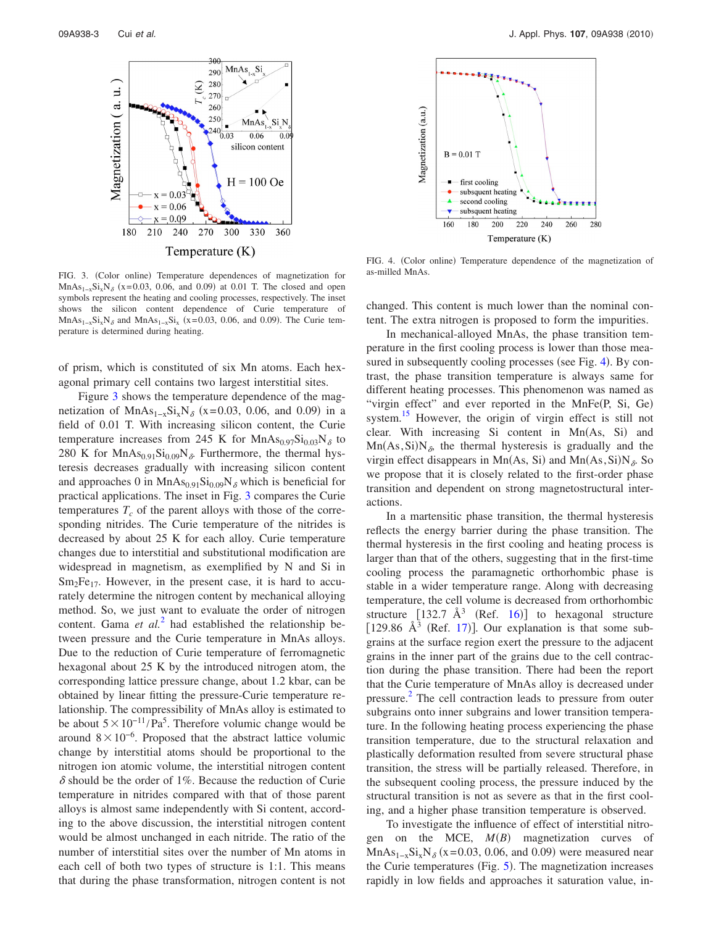<span id="page-4-0"></span>

FIG. 3. (Color online) Temperature dependences of magnetization for MnAs<sub>1-x</sub>Si<sub>x</sub>N<sub>δ</sub> (x=0.03, 0.06, and 0.09) at 0.01 T. The closed and open symbols represent the heating and cooling processes, respectively. The inset shows the silicon content dependence of Curie temperature of  $MnAs<sub>1-x</sub>Si<sub>x</sub>N<sub>δ</sub>$  and  $MnAs<sub>1-x</sub>Si<sub>x</sub>$  (x=0.03, 0.06, and 0.09). The Curie temperature is determined during heating.

of prism, which is constituted of six Mn atoms. Each hexagonal primary cell contains two largest interstitial sites.

Figure [3](#page-4-0) shows the temperature dependence of the magnetization of  $MnAs_{1-x}Si_xN_\delta$  (x=0.03, 0.06, and 0.09) in a field of 0.01 T. With increasing silicon content, the Curie temperature increases from 245 K for  $MnAs<sub>0.97</sub>Si<sub>0.03</sub>N<sub>δ</sub>$  to 280 K for  $MnAs<sub>0.91</sub>Si<sub>0.09</sub>N<sub>δ</sub>$ . Furthermore, the thermal hysteresis decreases gradually with increasing silicon content and approaches 0 in  $MnAs<sub>0.91</sub>Si<sub>0.09</sub>N<sub>δ</sub>$  which is beneficial for practical applications. The inset in Fig. [3](#page-4-0) compares the Curie temperatures  $T_c$  of the parent alloys with those of the corresponding nitrides. The Curie temperature of the nitrides is decreased by about 25 K for each alloy. Curie temperature changes due to interstitial and substitutional modification are widespread in magnetism, as exemplified by N and Si in  $Sm<sub>2</sub>Fe<sub>17</sub>$ . However, in the present case, it is hard to accurately determine the nitrogen content by mechanical alloying method. So, we just want to evaluate the order of nitrogen content. Gama *et al.*[2](#page-5-1) had established the relationship between pressure and the Curie temperature in MnAs alloys. Due to the reduction of Curie temperature of ferromagnetic hexagonal about 25 K by the introduced nitrogen atom, the corresponding lattice pressure change, about 1.2 kbar, can be obtained by linear fitting the pressure-Curie temperature relationship. The compressibility of MnAs alloy is estimated to be about  $5 \times 10^{-11}$ /Pa<sup>5</sup>. Therefore volumic change would be around  $8\times10^{-6}$ . Proposed that the abstract lattice volumic change by interstitial atoms should be proportional to the nitrogen ion atomic volume, the interstitial nitrogen content  $\delta$  should be the order of 1%. Because the reduction of Curie temperature in nitrides compared with that of those parent alloys is almost same independently with Si content, according to the above discussion, the interstitial nitrogen content would be almost unchanged in each nitride. The ratio of the number of interstitial sites over the number of Mn atoms in each cell of both two types of structure is 1:1. This means that during the phase transformation, nitrogen content is not

<span id="page-4-1"></span>

FIG. 4. (Color online) Temperature dependence of the magnetization of as-milled MnAs.

changed. This content is much lower than the nominal content. The extra nitrogen is proposed to form the impurities.

In mechanical-alloyed MnAs, the phase transition temperature in the first cooling process is lower than those mea-sured in subsequently cooling processes (see Fig. [4](#page-4-1)). By contrast, the phase transition temperature is always same for different heating processes. This phenomenon was named as "virgin effect" and ever reported in the MnFe(P, Si, Ge) system.<sup>15</sup> However, the origin of virgin effect is still not clear. With increasing Si content in  $Mn(As, Si)$  and  $Mn(As, Si)N_{\delta}$ , the thermal hysteresis is gradually and the virgin effect disappears in Mn(As, Si) and Mn(As, Si)N<sub> $\delta$ </sub>. So we propose that it is closely related to the first-order phase transition and dependent on strong magnetostructural interactions.

In a martensitic phase transition, the thermal hysteresis reflects the energy barrier during the phase transition. The thermal hysteresis in the first cooling and heating process is larger than that of the others, suggesting that in the first-time cooling process the paramagnetic orthorhombic phase is stable in a wider temperature range. Along with decreasing temperature, the cell volume is decreased from orthorhombic structure  $\begin{bmatrix} 132.7 \end{bmatrix}$   $\mathring{A}^3$  (Ref. [16](#page-5-15)) to hexagonal structure [129.86  $\AA^3$  (Ref. [17](#page-5-16))]. Our explanation is that some subgrains at the surface region exert the pressure to the adjacent grains in the inner part of the grains due to the cell contraction during the phase transition. There had been the report that the Curie temperature of MnAs alloy is decreased under pressure.<sup>[2](#page-5-1)</sup> The cell contraction leads to pressure from outer subgrains onto inner subgrains and lower transition temperature. In the following heating process experiencing the phase transition temperature, due to the structural relaxation and plastically deformation resulted from severe structural phase transition, the stress will be partially released. Therefore, in the subsequent cooling process, the pressure induced by the structural transition is not as severe as that in the first cooling, and a higher phase transition temperature is observed.

To investigate the influence of effect of interstitial nitrogen on the MCE,  $M(B)$  magnetization curves of MnAs<sub>1-x</sub>Si<sub>x</sub>N<sub> $\delta$ </sub> (x=0.03, 0.06, and 0.09) were measured near the Curie temperatures (Fig.  $5$ ). The magnetization increases rapidly in low fields and approaches it saturation value, in-